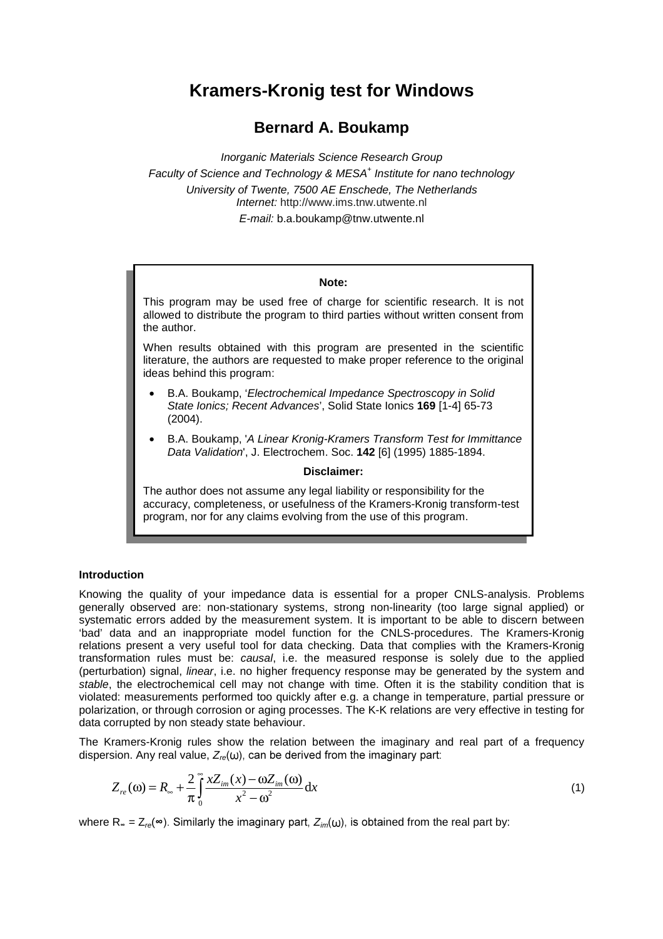# **Kramers-Kronig test for Windows**

# **Bernard A. Boukamp**

*Inorganic Materials Science Research Group Faculty of Science and Technology & MESA+ Institute for nano technology University of Twente, 7500 AE Enschede, The Netherlands Internet:* http://www.ims.tnw.utwente.nl *E-mail:* b.a.boukamp@tnw.utwente.nl

## **Note:**

This program may be used free of charge for scientific research. It is not allowed to distribute the program to third parties without written consent from the author.

When results obtained with this program are presented in the scientific literature, the authors are requested to make proper reference to the original ideas behind this program:

- B.A. Boukamp, '*Electrochemical Impedance Spectroscopy in Solid State Ionics; Recent Advances*', Solid State Ionics **169** [1-4] 65-73 (2004).
- B.A. Boukamp, '*A Linear Kronig-Kramers Transform Test for Immittance Data Validation*', J. Electrochem. Soc. **142** [6] (1995) 1885-1894.

# **Disclaimer:**

The author does not assume any legal liability or responsibility for the accuracy, completeness, or usefulness of the Kramers-Kronig transform-test program, nor for any claims evolving from the use of this program.

# **Introduction**

Knowing the quality of your impedance data is essential for a proper CNLS-analysis. Problems generally observed are: non-stationary systems, strong non-linearity (too large signal applied) or systematic errors added by the measurement system. It is important to be able to discern between 'bad' data and an inappropriate model function for the CNLS-procedures. The Kramers-Kronig relations present a very useful tool for data checking. Data that complies with the Kramers-Kronig transformation rules must be: *causal*, i.e. the measured response is solely due to the applied (perturbation) signal, *linear*, i.e. no higher frequency response may be generated by the system and *stable*, the electrochemical cell may not change with time. Often it is the stability condition that is violated: measurements performed too quickly after e.g. a change in temperature, partial pressure or polarization, or through corrosion or aging processes. The K-K relations are very effective in testing for data corrupted by non steady state behaviour.

The Kramers-Kronig rules show the relation between the imaginary and real part of a frequency dispersion. Any real value,  $Z_{re}(\omega)$ , can be derived from the imaginary part:

$$
Z_{re}(\omega) = R_{\infty} + \frac{2}{\pi} \int_{0}^{\infty} \frac{x Z_{im}(x) - \omega Z_{im}(\omega)}{x^2 - \omega^2} dx
$$
\n(1)

where  $R_{\infty} = Z_{re}(\infty)$ . Similarly the imaginary part,  $Z_{im}(\omega)$ , is obtained from the real part by: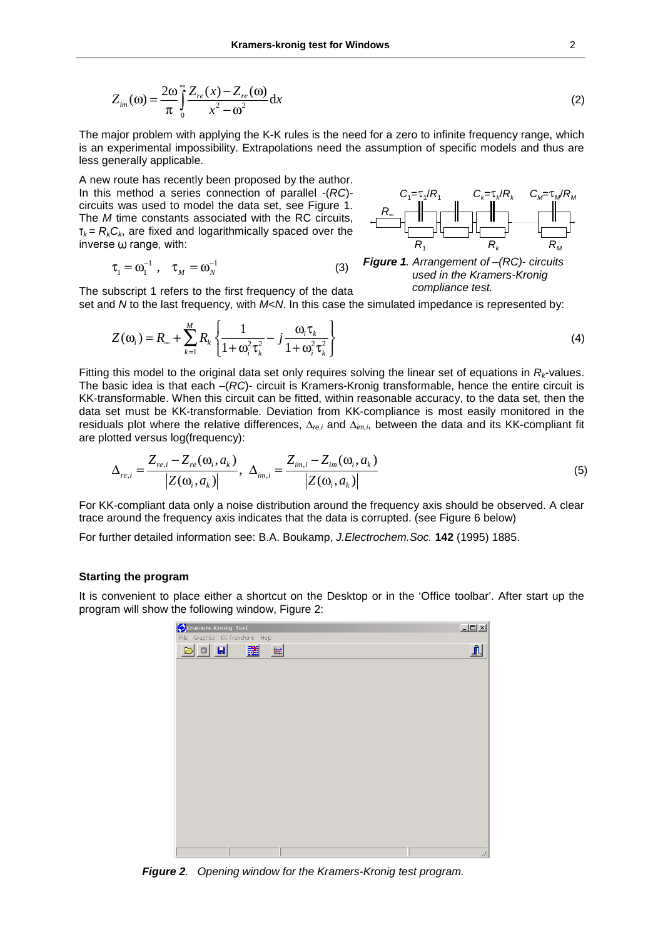$$
Z_{im}(\omega) = \frac{2\omega}{\pi} \int_{0}^{\infty} \frac{Z_{re}(x) - Z_{re}(\omega)}{x^2 - \omega^2} dx
$$
 (2)

The major problem with applying the K-K rules is the need for a zero to infinite frequency range, which is an experimental impossibility. Extrapolations need the assumption of specific models and thus are less generally applicable.

A new route has recently been proposed by the author. In this method a series connection of parallel -(*RC*) circuits was used to model the data set, see Figure 1. The *M* time constants associated with the RC circuits,  $\tau_k = R_k C_k$ , are fixed and logarithmically spaced over the inverse  $\omega$  range, with:

The subscript 1 refers to the first frequency of the data

$$
\tau_1 = \omega_1^{-1} , \quad \tau_M = \omega_N^{-1}
$$
 (3)



*Figure 1. Arrangement of –(RC)- circuits used in the Kramers-Kronig compliance test.* 

set and *N* to the last frequency, with *M*<*N*. In this case the simulated impedance is represented by:

$$
Z(\omega_i) = R_{\infty} + \sum_{k=1}^{M} R_k \left\{ \frac{1}{1 + \omega_i^2 \tau_k^2} - j \frac{\omega_i \tau_k}{1 + \omega_i^2 \tau_k^2} \right\}
$$
(4)

Fitting this model to the original data set only requires solving the linear set of equations in *Rk*-values. The basic idea is that each –(*RC*)- circuit is Kramers-Kronig transformable, hence the entire circuit is KK-transformable. When this circuit can be fitted, within reasonable accuracy, to the data set, then the data set must be KK-transformable. Deviation from KK-compliance is most easily monitored in the residuals plot where the relative differences, ∆*re,i* and ∆*im,i*, between the data and its KK-compliant fit are plotted versus log(frequency):

$$
\Delta_{re,i} = \frac{Z_{re,i} - Z_{re}(\omega_i, a_k)}{|Z(\omega_i, a_k)|}, \ \Delta_{im,i} = \frac{Z_{im,i} - Z_{im}(\omega_i, a_k)}{|Z(\omega_i, a_k)|}
$$
(5)

For KK-compliant data only a noise distribution around the frequency axis should be observed. A clear trace around the frequency axis indicates that the data is corrupted. (see Figure 6 below)

For further detailed information see: B.A. Boukamp, *J.Electrochem.Soc.* **142** (1995) 1885.

#### **Starting the program**

It is convenient to place either a shortcut on the Desktop or in the 'Office toolbar'. After start up the program will show the following window, Figure 2:

| Kramers-Kronig Test<br>File Graphics KK-Transform Help |                    |  | $\underline{\Box} \Box \underline{\times}$ |
|--------------------------------------------------------|--------------------|--|--------------------------------------------|
| $\textbf{a}$ of $\textbf{a}$                           | ユ<br>$\frac{1}{2}$ |  | ĥ                                          |
|                                                        |                    |  |                                            |
|                                                        |                    |  |                                            |
|                                                        |                    |  |                                            |
|                                                        |                    |  |                                            |
|                                                        |                    |  |                                            |
|                                                        |                    |  |                                            |
|                                                        |                    |  |                                            |
|                                                        |                    |  |                                            |
|                                                        |                    |  |                                            |
|                                                        |                    |  |                                            |
|                                                        |                    |  |                                            |
|                                                        |                    |  |                                            |
|                                                        |                    |  | h.                                         |

*Figure 2. Opening window for the Kramers-Kronig test program.*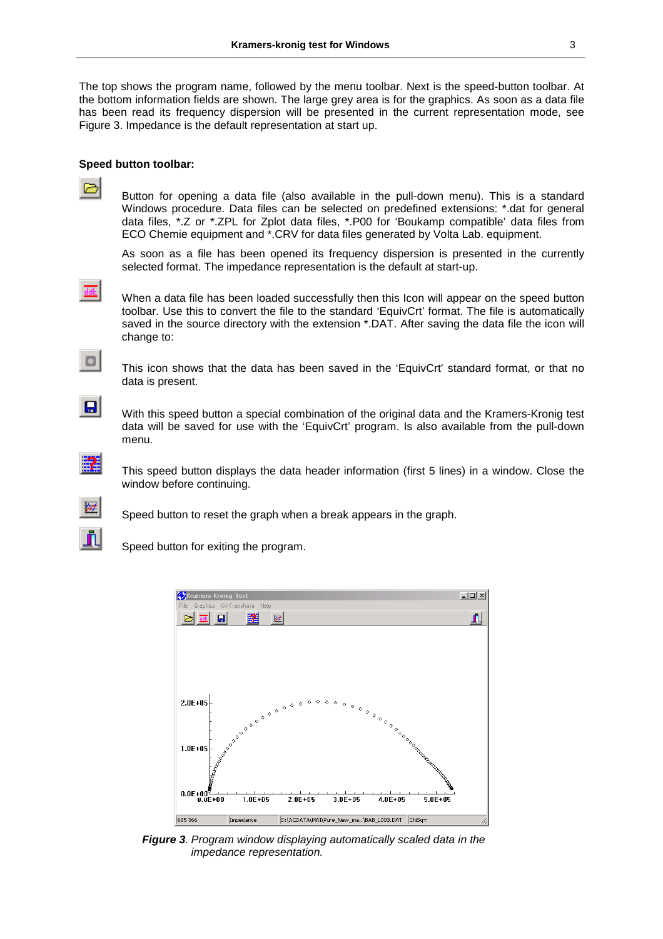The top shows the program name, followed by the menu toolbar. Next is the speed-button toolbar. At the bottom information fields are shown. The large grey area is for the graphics. As soon as a data file has been read its frequency dispersion will be presented in the current representation mode, see Figure 3. Impedance is the default representation at start up.

#### **Speed button toolbar:**

 Button for opening a data file (also available in the pull-down menu). This is a standard Windows procedure. Data files can be selected on predefined extensions: \*.dat for general data files, \*.Z or \*.ZPL for Zplot data files, \*.P00 for 'Boukamp compatible' data files from ECO Chemie equipment and \*.CRV for data files generated by Volta Lab. equipment.

 As soon as a file has been opened its frequency dispersion is presented in the currently selected format. The impedance representation is the default at start-up.

 $\bullet$ 

 When a data file has been loaded successfully then this Icon will appear on the speed button toolbar. Use this to convert the file to the standard 'EquivCrt' format. The file is automatically saved in the source directory with the extension \*.DAT. After saving the data file the icon will change to:



 This icon shows that the data has been saved in the 'EquivCrt' standard format, or that no data is present.



With this speed button a special combination of the original data and the Kramers-Kronig test data will be saved for use with the 'EquivCrt' program. Is also available from the pull-down menu.

軽

 This speed button displays the data header information (first 5 lines) in a window. Close the window before continuing.



Speed button to reset the graph when a break appears in the graph.

Speed button for exiting the program.



*Figure 3. Program window displaying automatically scaled data in the impedance representation.*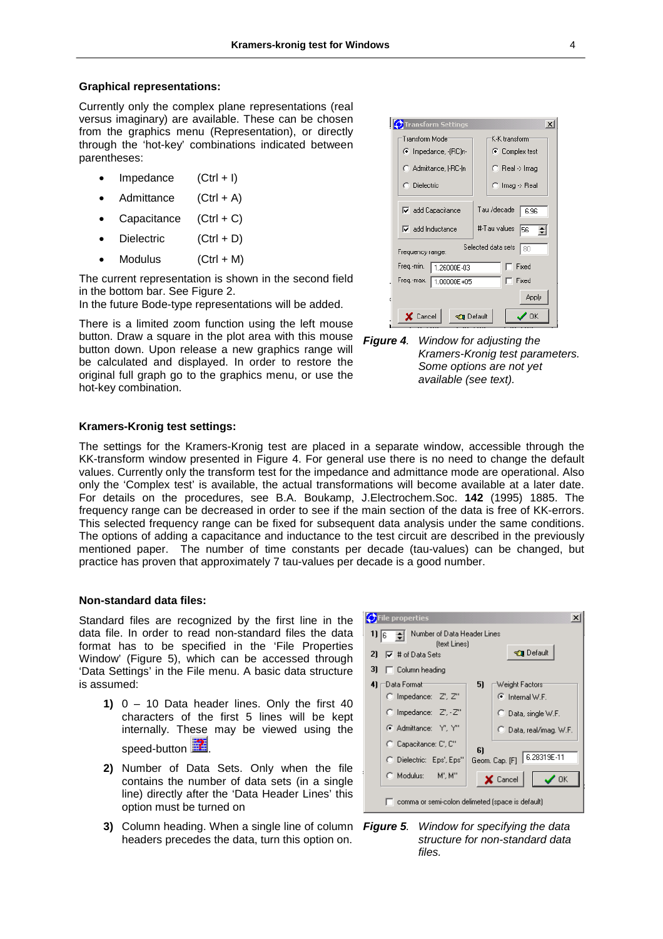#### **Graphical representations:**

Currently only the complex plane representations (real versus imaginary) are available. These can be chosen from the graphics menu (Representation), or directly through the 'hot-key' combinations indicated between parentheses:

- $Impedance$   $(CtrI + I)$
- Admittance  $(CtrI + A)$
- Capacitance  $(CtrI + C)$
- Dielectric (Ctrl + D)
- $\bullet$  Modulus (Ctrl + M)

The current representation is shown in the second field in the bottom bar. See Figure 2.

In the future Bode-type representations will be added.

There is a limited zoom function using the left mouse button. Draw a square in the plot area with this mouse button down. Upon release a new graphics range will be calculated and displayed. In order to restore the original full graph go to the graphics menu, or use the hot-key combination.





## **Kramers-Kronig test settings:**

The settings for the Kramers-Kronig test are placed in a separate window, accessible through the KK-transform window presented in Figure 4. For general use there is no need to change the default values. Currently only the transform test for the impedance and admittance mode are operational. Also only the 'Complex test' is available, the actual transformations will become available at a later date. For details on the procedures, see B.A. Boukamp, J.Electrochem.Soc. **142** (1995) 1885. The frequency range can be decreased in order to see if the main section of the data is free of KK-errors. This selected frequency range can be fixed for subsequent data analysis under the same conditions. The options of adding a capacitance and inductance to the test circuit are described in the previously mentioned paper. The number of time constants per decade (tau-values) can be changed, but practice has proven that approximately 7 tau-values per decade is a good number.

#### **Non-standard data files:**

Standard files are recognized by the first line in the data file. In order to read non-standard files the data format has to be specified in the 'File Properties Window' (Figure 5), which can be accessed through 'Data Settings' in the File menu. A basic data structure is assumed:

- **1)** 0 10 Data header lines. Only the first 40 characters of the first 5 lines will be kept internally. These may be viewed using the speed-button
- **2)** Number of Data Sets. Only when the file contains the number of data sets (in a single line) directly after the 'Data Header Lines' this option must be turned on
- **3)** Column heading. When a single line of column headers precedes the data, turn this option on.



*Figure 5. Window for specifying the data structure for non-standard data files.*